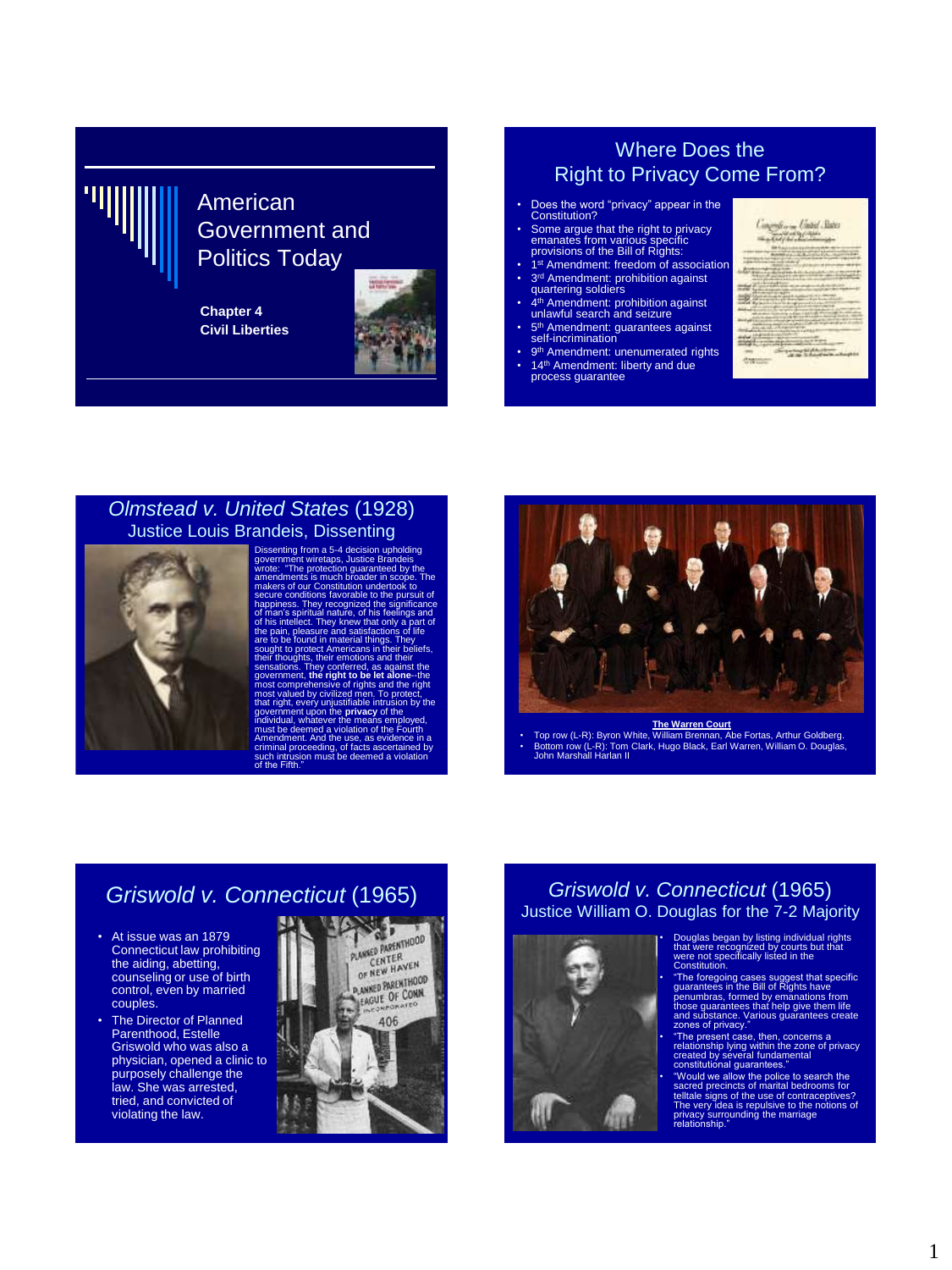# American Government and Politics Today

**Chapter 4 Civil Liberties**



### Where Does the Right to Privacy Come From?

- Does the word "privacy" appear in the Constitution?
- Some argue that the right to privacy emanates from various specific provisions of the Bill of Rights:
- 1 st Amendment: freedom of association
- 3 rd Amendment: prohibition against quartering soldiers
- 4 th Amendment: prohibition against unlawful search and seizure
- 5 th Amendment: guarantees against self-incrimination
- 9<sup>th</sup> Amendment: unenumerated rights
- 14th Amendment: liberty and due process guarantee

Congregación United States<br>manufacilitates **MAN** 29  $m_{\text{eff}}$ de transferências draws

# *Olmstead v. United States* (1928) Justice Louis Brandeis, Dissenting



Dissenting from a 5-4 decision upholding<br>overnment wiretage, Justice Brandeis<br>wrote: The protection guaranteed by the<br>amendments is much broader in scope. The<br>makers of our Constitution undertook to<br>because conditions tavo sensations. They conferred, as against the<br>government, the right to be let alone--the<br>most comprehensive of rights and the right<br>most valued by civilized men. To protect,<br>that right, every unjustifiable intrusion by the<br>go e Fifth."



**The Warren Court** • Top row (L-R): Byron White, William Brennan, Abe Fortas, Arthur Goldberg. • Bottom row (L-R): Tom Clark, Hugo Black, Earl Warren, William O. Douglas, John Marshall Harlan II

# *Griswold v. Connecticut* (1965)

- At issue was an 1879 Connecticut law prohibiting the aiding, abetting, counseling or use of birth control, even by married couples.
- The Director of Planned Parenthood, Estelle Griswold who was also a physician, opened a clinic to purposely challenge the law. She was arrested, tried, and convicted of violating the law.



### *Griswold v. Connecticut* (1965) Justice William O. Douglas for the 7-2 Majority



• Douglas began by listing individual rights that were recognized by courts but that were not specifically listed in the Constitution.

• "The foregoing cases suggest that specific<br>guarantees in the Bill of Rights have<br>penumbras, formed by emanations from<br>those guarantees that help give them life<br>and substance. Various guarantees create<br>cones of privacy."

• "The present case, then, concerns a<br>relationship lying within the zone of privacy<br>created by several fundamental<br>• "Would we allow the police to search the<br>sacred precincts of marital bedrooms for<br>tellitiale signs of the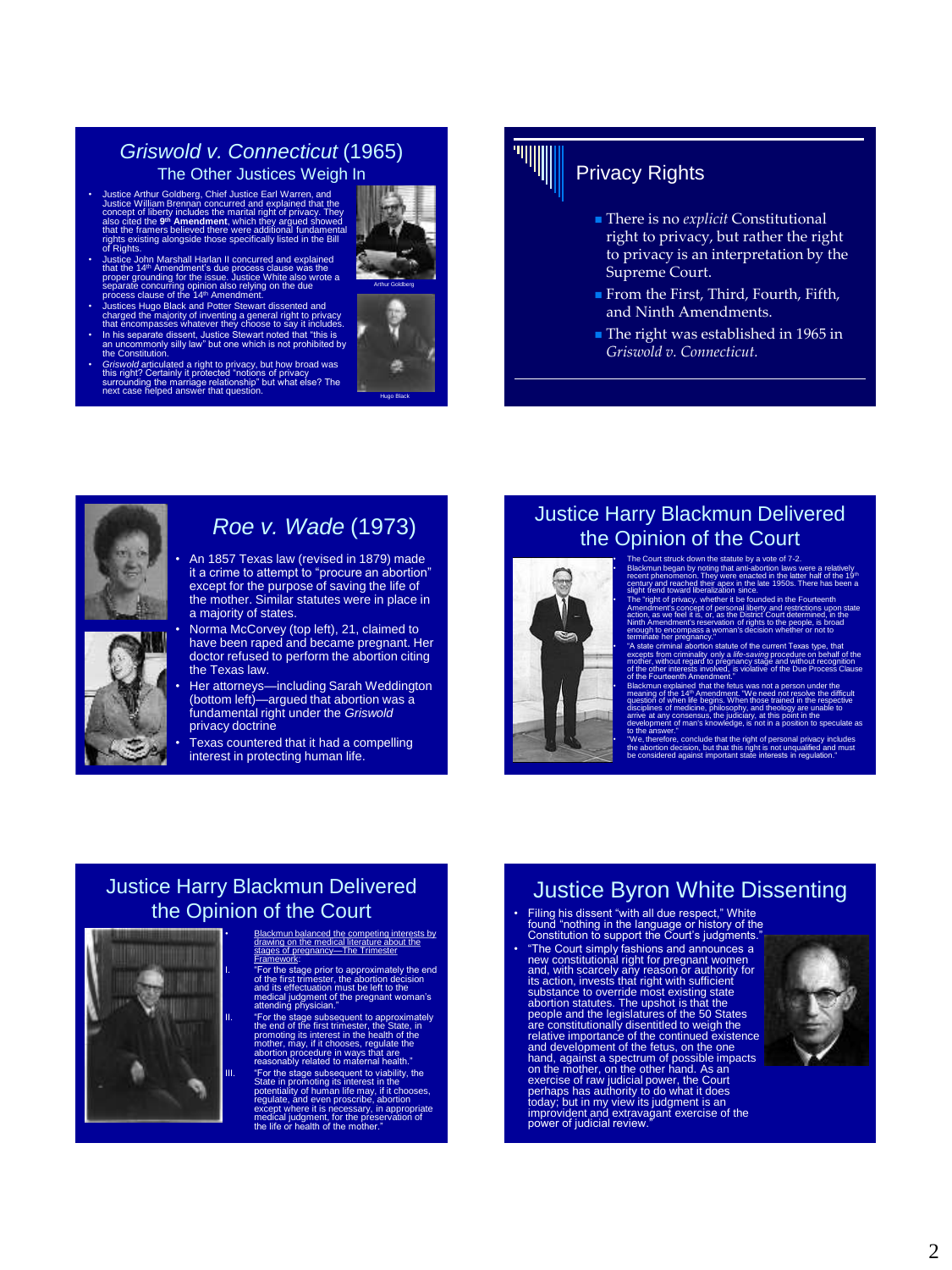#### *Griswold v. Connecticut* (1965) The Other Justices Weigh In

- **Justice Arthur Goldberg, Chief Justice Earl Warren, and<br>Justice William Brennan concurred and explained that the<br>concept of liberty includes the marital right of privacy. They<br>also cited the 9<sup>th</sup> Amendment, which they ar**
- of Rights.<br>
Justice John Marshall Harlan II concurred and explained<br>
that the 14<sup>th</sup> Amendment's due process clause was the<br>
proper grounding for the issue. Justice White also wrote a<br>
separate concurring opinion also rel
- 
- 
- an uncommonly silly law" but one which is not prohibited by the Constitution. *Griswold* articulated a right to privacy, but how broad was this right? Certainly it protected "notions of privacy surrounding the marriage relationship" but what else? The next case helped answer that question.



Hugo Black

### Privacy Rights

- There is no *explicit* Constitutional right to privacy, but rather the right to privacy is an interpretation by the Supreme Court.
- From the First, Third, Fourth, Fifth, and Ninth Amendments.
- The right was established in 1965 in *Griswold v. Connecticut.*



### *Roe v. Wade* (1973)

• An 1857 Texas law (revised in 1879) made it a crime to attempt to "procure an abortion" except for the purpose of saving the life of the mother. Similar statutes were in place in a majority of states.

• Norma McCorvey (top left), 21, claimed to have been raped and became pregnant. Her doctor refused to perform the abortion citing the Texas law.

• Her attorneys—including Sarah Weddington (bottom left)—argued that abortion was a fundamental right under the *Griswold*  privacy doctrine

• Texas countered that it had a compelling interest in protecting human life.

### Justice Harry Blackmun Delivered the Opinion of the Court



• The Court struck down the statute by a vote of 7-2. • Blackmun began by noting that anti-abortion laws were a relatively recent phenomenon. They were enacted in the latter half of the 19<sup>th</sup> century and reached their apex in the late 1950s. There has been a slight trend toward liberalization since.

• The "right of privacy, whether it be founded in the Fourteenth Amendment's concept of personal liberty and restrictions upon state action, as we feel it is, or, as the District Court determined, in the Ninth Amendment's reservation of rights to the people, is broad enough to encompass a woman's decision whether or not to terminate her pregnancy."

• "A state criminal abortion statute of the current Texas type, that excepts from criminality only a *life-saving* procedure on behalf of the mother, without regard to pregnancy stage and without recognition of the other interests involved, is violative of the Due Process Clause of the<br>of the

• Blackmun explained that the fetus was not a person under the meaning of the 14th Amendment. "We need not resolve the difficult question of when life begins. When those trained in the respective disciplines of medicine, philosophy, and theology are unable to arrive at any consensus, the judiciary, at this point in the development of man's knowledge, is not in a position to speculate as

to the answer."<br>• We, therefore, conclude that the right of personal privacy includes<br>the abortion decision, but that this right is not unqualified and must<br>be considered against important state interests in regulation."

## Justice Harry Blackmun Delivered the Opinion of the Court



• Blackmun balanced the competing interests by drawing on the medical literature about the stages of pregnancy—The Trimester

- Framework: I. "For the stage prior to approximately the end
- of the first trimester, the abortion decision<br>and its effectuation must be left to the<br>medical judgment of the pregnant woman's<br>attending physician."<br>II. To the stage subsequent to approximately<br>the only the end of the fir

III. "For the stage subsequent to viability, the<br>State in promoting its interest in the<br>potentiality of human life may, if it chooses,<br>regulate, and even proscribe, abortion<br>except where it is necessary, in appropriate<br>me

# Justice Byron White Dissenting

- Filing his dissent "with all due respect," White found "nothing in the language or history of the Constitution to support the Court's judgments."
- "The Court simply fashions and announces a<br>new constitutional right for pregnant women<br>and, with scarcely any reason or authority for<br>its action, invests that right with sufficient<br>substance to override most existing sta people and the legislatures of the 50 States<br>are constitutionally disentitied to weigh the<br>relative importance of the continued existence<br>and development of the fetus, on the one one<br>hand, against a spectrum of possible im

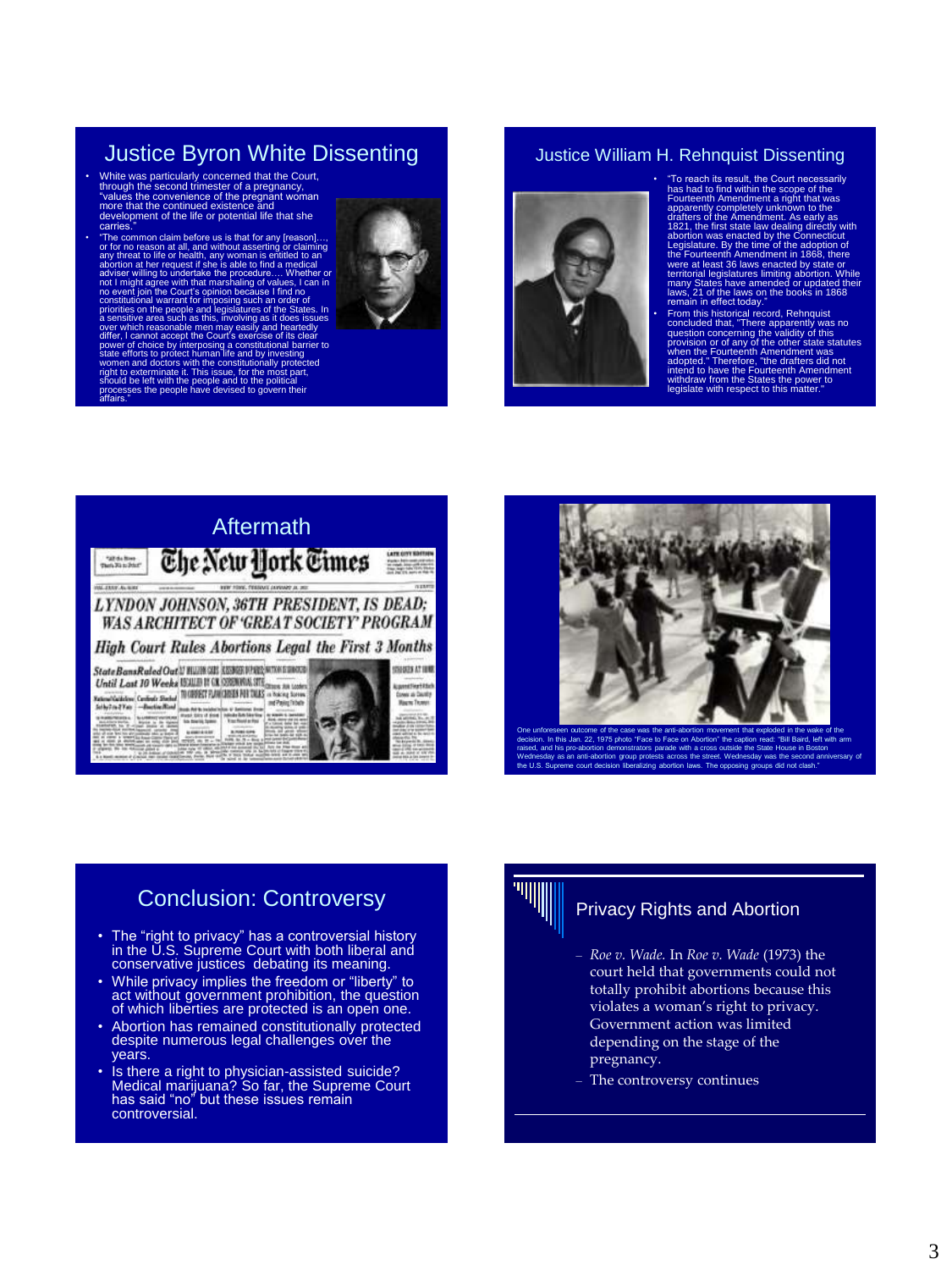### Justice Byron White Dissenting

- White was particularly concerned that the Court, through the second trimester of a pregnancy, "values the convenience of the pregnant woman more that the continued existence and development of the life or potential life that she carries."
- "The common claim before us is that for any [reason]…, or for no reason at all, and without asserting or claiming any threat to life or health, any woman is entitled to an abortion at her request if she is able to find a medical adviser willing to undertake the procedure…. Whether or not I might agree with that marshaling of values, I can in no event join the Court's opinion because I find no constitutional warrant for imposing such an order of priorities on the people and legislatures of the States. In a sensitive area such as this, involving as it does issues over which reasonable men may easily and heartedly differ, I cannot accept the Court's exercise of its clear power of choice by interposing a constitutional barrier to state efforts to protect human life and by investing women and doctors with the constitutionally protected right to exterminate it. This issue, for the most part, should be left with the people and to the political ised to ad affairs."



#### Justice William H. Rehnquist Dissenting



• "To reach its result, the Court necessarily has had to find within the scope of the Fourteenth Amendment a right that was apparently completely unknown to the drafters of the Amendment. As early as the first state law dealing directly with abortion was enacted by the Connecticut Legislature. By the time of the adoption of the Fourteenth Amendment in 1868, there were at least 36 laws enacted by state or territorial legislatures limiting abortion. While

many States have amended or updated their<br>laws. 21 of the laws on the books in 1868<br>remain in effect today."<br>From this historical record, Rehnquist<br>concluded that, "There apparently was no<br>question concerning the validity of the States the Courteenth Amendraw from the States the power to mom the states<br>with respect to th





decision. In this Jan. 22, 1975 photo "Face to Face on Abortion" the caption read: "Bill Baird, left with arm raised, and his pro-abortion demonstrators parade with a cross outside the State House in Boston Wednesday as an anti-abortion group protests across the street. Wednesday was the second anniversary of the U.S. Supreme court decision liberalizing abortion laws. The opposing groups did not clash."

# Conclusion: Controversy

- The "right to privacy" has a controversial history in the U.S. Supreme Court with both liberal and conservative justices debating its meaning.
- While privacy implies the freedom or "liberty" to act without government prohibition, the question of which liberties are protected is an open one.
- Abortion has remained constitutionally protected despite numerous legal challenges over the vears.
- Is there a right to physician-assisted suicide? Medical marijuana? So far, the Supreme Court has said "no" but these issues remain controversial.

#### Privacy Rights and Abortion

- *Roe v. Wade.* In *Roe v. Wade* (1973) the court held that governments could not totally prohibit abortions because this violates a woman's right to privacy. Government action was limited depending on the stage of the pregnancy.
	- The controversy continues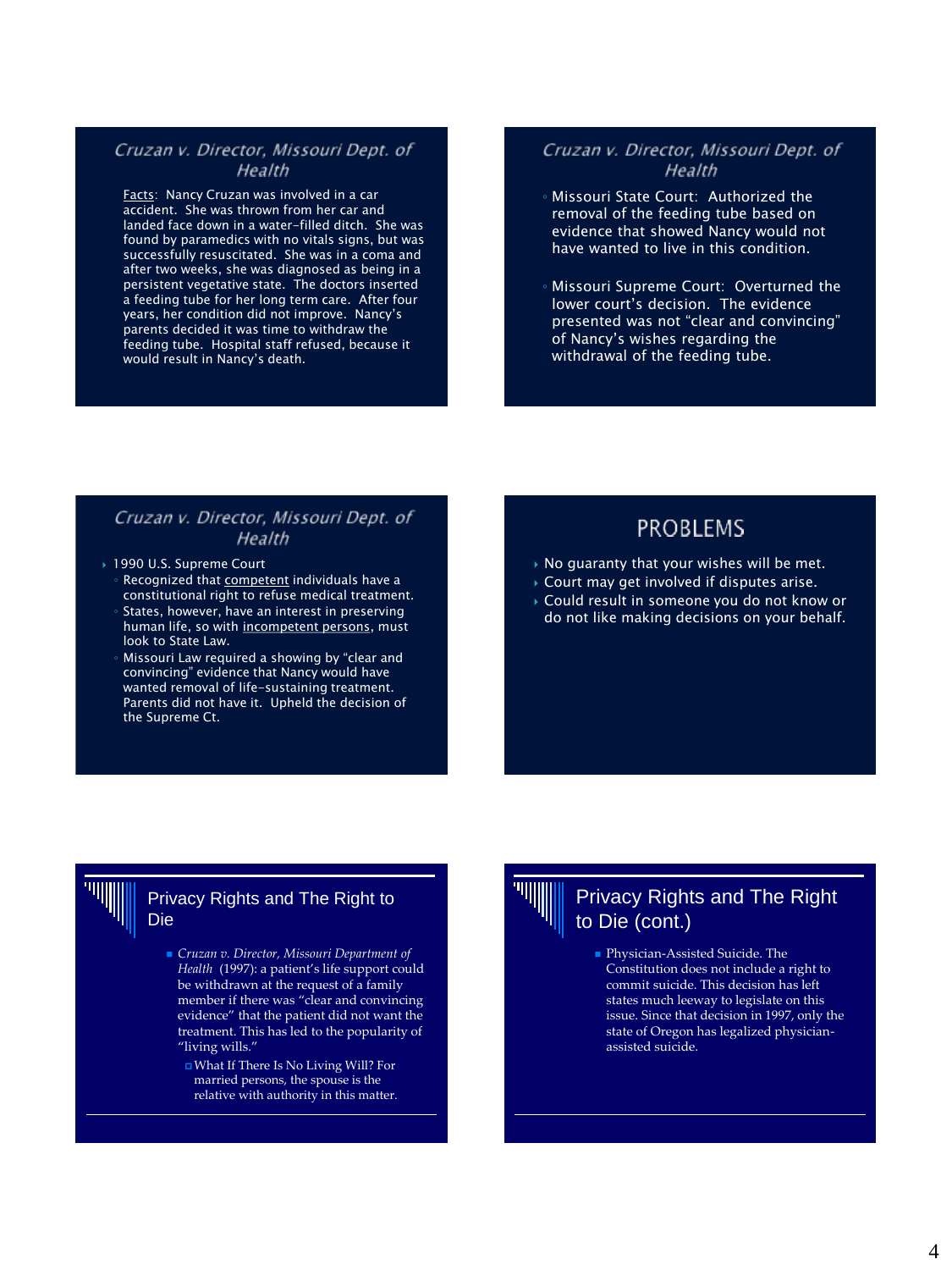#### Cruzan v. Director, Missouri Dept. of Health

Facts: Nancy Cruzan was involved in a car accident. She was thrown from her car and landed face down in a water-filled ditch. She was found by paramedics with no vitals signs, but was successfully resuscitated. She was in a coma and after two weeks, she was diagnosed as being in a persistent vegetative state. The doctors inserted a feeding tube for her long term care. After four years, her condition did not improve. Nancy's parents decided it was time to withdraw the feeding tube. Hospital staff refused, because it would result in Nancy's death.

#### Cruzan v. Director, Missouri Dept. of Health

- Missouri State Court: Authorized the removal of the feeding tube based on evidence that showed Nancy would not have wanted to live in this condition.
- Missouri Supreme Court: Overturned the lower court's decision. The evidence presented was not "clear and convincing" of Nancy's wishes regarding the withdrawal of the feeding tube.

#### Cruzan v. Director, Missouri Dept. of Health

- ▶ 1990 U.S. Supreme Court
- Recognized that competent individuals have a constitutional right to refuse medical treatment.
- States, however, have an interest in preserving human life, so with incompetent persons, must look to State Law.
- Missouri Law required a showing by "clear and convincing" evidence that Nancy would have wanted removal of life-sustaining treatment. Parents did not have it. Upheld the decision of the Supreme Ct.

# **PROBLEMS**

- No guaranty that your wishes will be met.
- Court may get involved if disputes arise.
- Could result in someone you do not know or do not like making decisions on your behalf.

#### Privacy Rights and The Right to Die

- *Cruzan v. Director, Missouri Department of Health* (1997): a patient's life support could be withdrawn at the request of a family member if there was "clear and convincing evidence" that the patient did not want the treatment. This has led to the popularity of "living wills."
	- What If There Is No Living Will? For married persons, the spouse is the relative with authority in this matter.

### Privacy Rights and The Right to Die (cont.)

**Physician-Assisted Suicide. The** Constitution does not include a right to commit suicide. This decision has left states much leeway to legislate on this issue. Since that decision in 1997, only the state of Oregon has legalized physicianassisted suicide.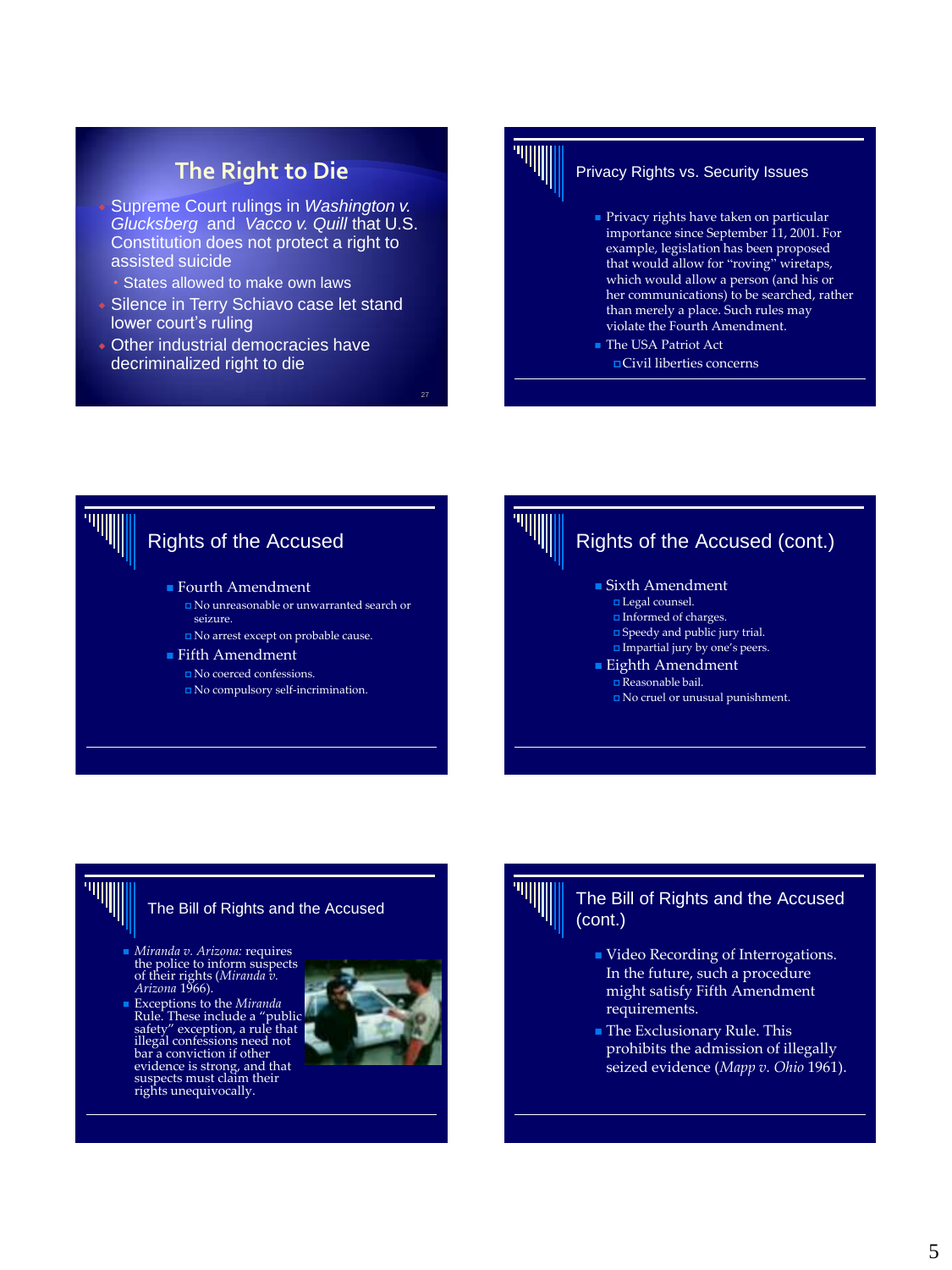# **The Right to Die**

 Supreme Court rulings in *Washington v. Glucksberg* and *Vacco v. Quill* that U.S. Constitution does not protect a right to assisted suicide

- States allowed to make own laws
- Silence in Terry Schiavo case let stand lower court's ruling
- Other industrial democracies have decriminalized right to die

27

# Privacy Rights vs. Security Issues

- Privacy rights have taken on particular importance since September 11, 2001. For example, legislation has been proposed that would allow for "roving" wiretaps, which would allow a person (and his or her communications) to be searched, rather than merely a place. Such rules may violate the Fourth Amendment.
- **The USA Patriot Act** Civil liberties concerns



# Rights of the Accused (cont.)

- Sixth Amendment Legal counsel.
	- Informed of charges.
	- Speedy and public jury trial.
	- Impartial jury by one's peers.
- **Eighth Amendment**
- Reasonable bail. No cruel or unusual punishment.

#### The Bill of Rights and the Accused

- *Miranda v. Arizona:* requires the police to inform suspects of their rights (*Miranda v. Arizona* 1966).
- Exceptions to the *Miranda* Rule. These include a "public safety" exception, a rule that illegal confessions need not bar a conviction if other evidence is strong, and that suspects must claim their rights unequivocally.



#### The Bill of Rights and the Accused (cont.)

- Video Recording of Interrogations. In the future, such a procedure might satisfy Fifth Amendment requirements.
- **The Exclusionary Rule. This** prohibits the admission of illegally seized evidence (*Mapp v. Ohio* 1961).